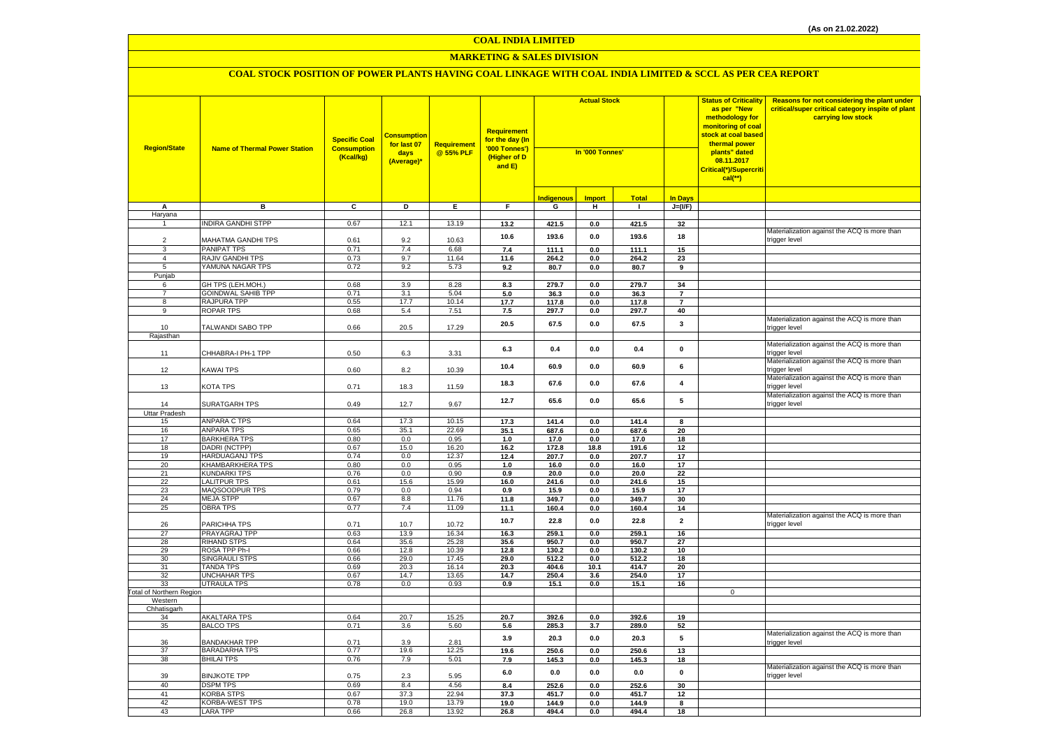#### **MARKETING & SALES DIVISION**

| <b>Region/State</b>             | <b>Name of Thermal Power Station</b>      | <b>Specific Coal</b><br><b>Consumption</b><br>(Kcal/kg) | <b>Consumption</b><br>for last 07<br>days<br>(Average)* | <b>Requirement</b><br>@ 55% PLF | <b>Requirement</b><br>for the day (In<br>'000 Tonnes')<br>(Higher of D<br>and E) | <b>Actual Stock</b><br>In '000 Tonnes' |                |                |                 | <b>Status of Criticality</b><br>as per "New<br>methodology for<br>monitoring of coal<br>stock at coal based<br>thermal power<br>plants" dated<br>08.11.2017<br>Critical(*)/Supercriti<br>$cal$ <sup>**</sup> ) | Reasons for not considering the plant under<br>critical/super critical category inspite of plant<br>carrying low stock |
|---------------------------------|-------------------------------------------|---------------------------------------------------------|---------------------------------------------------------|---------------------------------|----------------------------------------------------------------------------------|----------------------------------------|----------------|----------------|-----------------|----------------------------------------------------------------------------------------------------------------------------------------------------------------------------------------------------------------|------------------------------------------------------------------------------------------------------------------------|
|                                 |                                           |                                                         |                                                         |                                 |                                                                                  | Indigenous                             | <b>Import</b>  | <b>Total</b>   | <b>In Days</b>  |                                                                                                                                                                                                                |                                                                                                                        |
| Α                               | в                                         | C                                                       | D                                                       | Ε.                              | F.                                                                               | G                                      | н              | $\mathbf{I}$   | $J=(VF)$        |                                                                                                                                                                                                                |                                                                                                                        |
| Haryana                         |                                           |                                                         |                                                         |                                 |                                                                                  |                                        |                |                |                 |                                                                                                                                                                                                                |                                                                                                                        |
| $\overline{1}$                  | <b>INDIRA GANDHI STPP</b>                 | 0.67                                                    | 12.1                                                    | 13.19                           | 13.2                                                                             | 421.5                                  | 0.0            | 421.5          | 32              |                                                                                                                                                                                                                |                                                                                                                        |
|                                 |                                           |                                                         |                                                         |                                 | 10.6                                                                             | 193.6                                  | 0.0            | 193.6          | 18              |                                                                                                                                                                                                                | Materialization against the ACQ is more than                                                                           |
| 2<br>3                          | MAHATMA GANDHI TPS<br><b>PANIPAT TPS</b>  | 0.61<br>0.71                                            | 9.2<br>7.4                                              | 10.63<br>6.68                   |                                                                                  |                                        |                |                |                 |                                                                                                                                                                                                                | trigger level                                                                                                          |
| 4                               | RAJIV GANDHI TPS                          | 0.73                                                    | 9.7                                                     | 11.64                           | 7.4<br>11.6                                                                      | 111.1<br>264.2                         | 0.0<br>0.0     | 111.1<br>264.2 | 15<br>23        |                                                                                                                                                                                                                |                                                                                                                        |
| 5                               | YAMUNA NAGAR TPS                          | 0.72                                                    | 9.2                                                     | 5.73                            | 9.2                                                                              | 80.7                                   | 0.0            | 80.7           | $\overline{9}$  |                                                                                                                                                                                                                |                                                                                                                        |
| Punjab                          |                                           |                                                         |                                                         |                                 |                                                                                  |                                        |                |                |                 |                                                                                                                                                                                                                |                                                                                                                        |
| 6                               | GH TPS (LEH.MOH.)                         | 0.68                                                    | 3.9                                                     | 8.28                            | 8.3                                                                              | 279.7                                  | 0.0            | 279.7          | 34              |                                                                                                                                                                                                                |                                                                                                                        |
| $\overline{7}$                  | <b>GOINDWAL SAHIB TPP</b>                 | 0.71                                                    | 3.1                                                     | 5.04                            | $5.0\,$                                                                          | 36.3                                   | 0.0            | 36.3           | $\overline{7}$  |                                                                                                                                                                                                                |                                                                                                                        |
| 8                               | RAJPURA TPP                               | 0.55                                                    | 17.7                                                    | 10.14                           | 17.7                                                                             | 117.8                                  | 0.0            | 117.8          | $\overline{7}$  |                                                                                                                                                                                                                |                                                                                                                        |
| 9                               | ROPAR TPS                                 | 0.68                                                    | 5.4                                                     | 7.51                            | 7.5                                                                              | 297.7                                  | 0.0            | 297.7          | 40              |                                                                                                                                                                                                                |                                                                                                                        |
| 10                              | TALWANDI SABO TPP                         | 0.66                                                    | 20.5                                                    | 17.29                           | 20.5                                                                             | 67.5                                   | 0.0            | 67.5           | $\mathbf{3}$    |                                                                                                                                                                                                                | Materialization against the ACQ is more than<br>trigger level                                                          |
| Rajasthan                       |                                           |                                                         |                                                         |                                 |                                                                                  |                                        |                |                |                 |                                                                                                                                                                                                                |                                                                                                                        |
| 11                              | CHHABRA-I PH-1 TPP                        | 0.50                                                    | 6.3                                                     | 3.31                            | 6.3                                                                              | 0.4                                    | 0.0            | 0.4            | $\pmb{0}$       |                                                                                                                                                                                                                | Materialization against the ACQ is more than<br>rigger level                                                           |
| 12                              | <b>KAWAI TPS</b>                          | 0.60                                                    | 8.2                                                     | 10.39                           | 10.4                                                                             | 60.9                                   | $0.0\,$        | 60.9           | 6               |                                                                                                                                                                                                                | Materialization against the ACQ is more than<br>trigger level                                                          |
| 13                              | KOTA TPS                                  | 0.71                                                    | 18.3                                                    | 11.59                           | 18.3                                                                             | 67.6                                   | 0.0            | 67.6           | $\pmb{4}$       |                                                                                                                                                                                                                | Materialization against the ACQ is more than<br>trigger level                                                          |
| 14                              | SURATGARH TPS                             | 0.49                                                    | 12.7                                                    | 9.67                            | 12.7                                                                             | 65.6                                   | 0.0            | 65.6           | 5               |                                                                                                                                                                                                                | Materialization against the ACQ is more than<br>trigger level                                                          |
| Uttar Pradesh                   |                                           |                                                         |                                                         |                                 |                                                                                  |                                        |                |                |                 |                                                                                                                                                                                                                |                                                                                                                        |
| 15                              | <b>ANPARA C TPS</b>                       | 0.64                                                    | 17.3                                                    | 10.15                           | 17.3                                                                             | 141.4                                  | 0.0            | 141.4          | 8               |                                                                                                                                                                                                                |                                                                                                                        |
| 16                              | <b>ANPARA TPS</b>                         | 0.65                                                    | 35.1                                                    | 22.69                           | 35.1                                                                             | 687.6                                  | 0.0            | 687.6          | 20              |                                                                                                                                                                                                                |                                                                                                                        |
| 17<br>18                        | <b>BARKHERA TPS</b><br>DADRI (NCTPP)      | 0.80<br>0.67                                            | 0.0<br>15.0                                             | 0.95<br>16.20                   | 1.0<br>16.2                                                                      | 17.0<br>172.8                          | 0.0<br>18.8    | 17.0<br>191.6  | 18<br>12        |                                                                                                                                                                                                                |                                                                                                                        |
| 19                              | HARDUAGANJ TPS                            | 0.74                                                    | 0.0                                                     | 12.37                           | 12.4                                                                             | 207.7                                  | 0.0            | 207.7          | 17              |                                                                                                                                                                                                                |                                                                                                                        |
| 20                              | KHAMBARKHERA TPS                          | 0.80                                                    | 0.0                                                     | 0.95                            | 1.0                                                                              | 16.0                                   | $\mathbf{0.0}$ | 16.0           | 17              |                                                                                                                                                                                                                |                                                                                                                        |
| 21                              | <b>KUNDARKI TPS</b>                       | 0.76                                                    | 0.0                                                     | 0.90                            | 0.9                                                                              | 20.0                                   | $\mathbf{0.0}$ | 20.0           | 22              |                                                                                                                                                                                                                |                                                                                                                        |
| 22                              | <b>LALITPUR TPS</b>                       | 0.61                                                    | 15.6                                                    | 15.99                           | 16.0                                                                             | 241.6                                  | 0.0            | 241.6          | 15              |                                                                                                                                                                                                                |                                                                                                                        |
| 23                              | MAQSOODPUR TPS                            | 0.79                                                    | 0.0                                                     | 0.94                            | 0.9                                                                              | 15.9                                   | $\mathbf{0.0}$ | 15.9           | 17              |                                                                                                                                                                                                                |                                                                                                                        |
| 24                              | <b>MEJA STPP</b>                          | 0.67                                                    | 8.8                                                     | 11.76                           | 11.8                                                                             | 349.7                                  | 0.0            | 349.7          | 30              |                                                                                                                                                                                                                |                                                                                                                        |
| 25                              | <b>OBRA TPS</b>                           | 0.77                                                    | 7.4                                                     | 11.09                           | 11.1                                                                             | 160.4                                  | 0.0            | 160.4          | 14              |                                                                                                                                                                                                                |                                                                                                                        |
| 26                              | PARICHHA TPS                              | 0.71                                                    | 10.7                                                    | 10.72                           | 10.7                                                                             | 22.8                                   | 0.0            | 22.8           | $\overline{2}$  |                                                                                                                                                                                                                | Materialization against the ACQ is more than<br>trigger level                                                          |
| 27                              | PRAYAGRAJ TPP                             | 0.63                                                    | 13.9                                                    | 16.34                           | 16.3                                                                             | 259.1                                  | 0.0            | 259.1          | 16              |                                                                                                                                                                                                                |                                                                                                                        |
| 28                              | <b>RIHAND STPS</b>                        | 0.64                                                    | 35.6                                                    | 25.28                           | 35.6                                                                             | 950.7                                  | 0.0            | 950.7          | 27              |                                                                                                                                                                                                                |                                                                                                                        |
| 29                              | ROSA TPP Ph-I                             | 0.66                                                    | 12.8                                                    | 10.39                           | 12.8                                                                             | 130.2                                  | 0.0            | 130.2          | 10              |                                                                                                                                                                                                                |                                                                                                                        |
| 30<br>31                        | <b>SINGRAULI STPS</b><br><b>TANDA TPS</b> | 0.66<br>0.69                                            | 29.0                                                    | 17.45<br>16.14                  | 29.0                                                                             | 512.2<br>404.6                         | 0.0<br>10.1    | 512.2<br>414.7 | 18<br>20        |                                                                                                                                                                                                                |                                                                                                                        |
| 32                              | <b>UNCHAHAR TPS</b>                       | 0.67                                                    | 20.3<br>14.7                                            | 13.65                           | 20.3<br>14.7                                                                     | 250.4                                  | 3.6            | 254.0          | 17              |                                                                                                                                                                                                                |                                                                                                                        |
| 33                              | <b>UTRAULA TPS</b>                        | 0.78                                                    | 0.0                                                     | 0.93                            | 0.9                                                                              | 15.1                                   | 0.0            | 15.1           | 16              |                                                                                                                                                                                                                |                                                                                                                        |
| <b>Fotal of Northern Region</b> |                                           |                                                         |                                                         |                                 |                                                                                  |                                        |                |                |                 | $\mathsf 0$                                                                                                                                                                                                    |                                                                                                                        |
| Western                         |                                           |                                                         |                                                         |                                 |                                                                                  |                                        |                |                |                 |                                                                                                                                                                                                                |                                                                                                                        |
| Chhatisgarh                     |                                           |                                                         |                                                         |                                 |                                                                                  |                                        |                |                |                 |                                                                                                                                                                                                                |                                                                                                                        |
| 34                              | AKALTARA TPS                              | 0.64                                                    | 20.7                                                    | 15.25                           | 20.7                                                                             | 392.6                                  | 0.0            | 392.6          | 19              |                                                                                                                                                                                                                |                                                                                                                        |
| 35<br>36                        | <b>BALCO TPS</b><br><b>BANDAKHAR TPP</b>  | 0.71<br>0.71                                            | 3.6                                                     | 5.60<br>2.81                    | 5.6<br>3.9                                                                       | 285.3<br>20.3                          | 3.7<br>0.0     | 289.0<br>20.3  | 52<br>${\bf 5}$ |                                                                                                                                                                                                                | Materialization against the ACQ is more than                                                                           |
| 37                              | <b>BARADARHA TPS</b>                      | 0.77                                                    | 3.9<br>19.6                                             | 12.25                           | 19.6                                                                             | 250.6                                  | $0.0\,$        | 250.6          | 13              |                                                                                                                                                                                                                | trigger level                                                                                                          |
| 38                              | <b>BHILAI TPS</b>                         | 0.76                                                    | 7.9                                                     | 5.01                            | 7.9                                                                              | 145.3                                  | 0.0            | 145.3          | 18              |                                                                                                                                                                                                                |                                                                                                                        |
| 39                              | <b>BINJKOTE TPP</b>                       | 0.75                                                    | 2.3                                                     | 5.95                            | 6.0                                                                              | 0.0                                    | 0.0            | 0.0            | $\pmb{0}$       |                                                                                                                                                                                                                | Materialization against the ACQ is more than<br>trigger level                                                          |
| 40                              | <b>DSPM TPS</b>                           | 0.69                                                    | 8.4                                                     | 4.56                            | 8.4                                                                              | 252.6                                  | 0.0            | 252.6          | 30              |                                                                                                                                                                                                                |                                                                                                                        |
| 41                              | <b>KORBA STPS</b>                         | 0.67                                                    | 37.3                                                    | 22.94                           | 37.3                                                                             | 451.7                                  | $\mathbf{0.0}$ | 451.7          | 12              |                                                                                                                                                                                                                |                                                                                                                        |
| 42                              | <b>KORBA-WEST TPS</b>                     | 0.78                                                    | 19.0                                                    | 13.79                           | 19.0                                                                             | 144.9                                  | 0.0            | 144.9          | 8               |                                                                                                                                                                                                                |                                                                                                                        |
| 43                              | <b>LARA TPP</b>                           | 0.66                                                    | 26.8                                                    | 13.92                           | 26.8                                                                             | 494.4                                  | 0.0            | 494.4          | 18              |                                                                                                                                                                                                                |                                                                                                                        |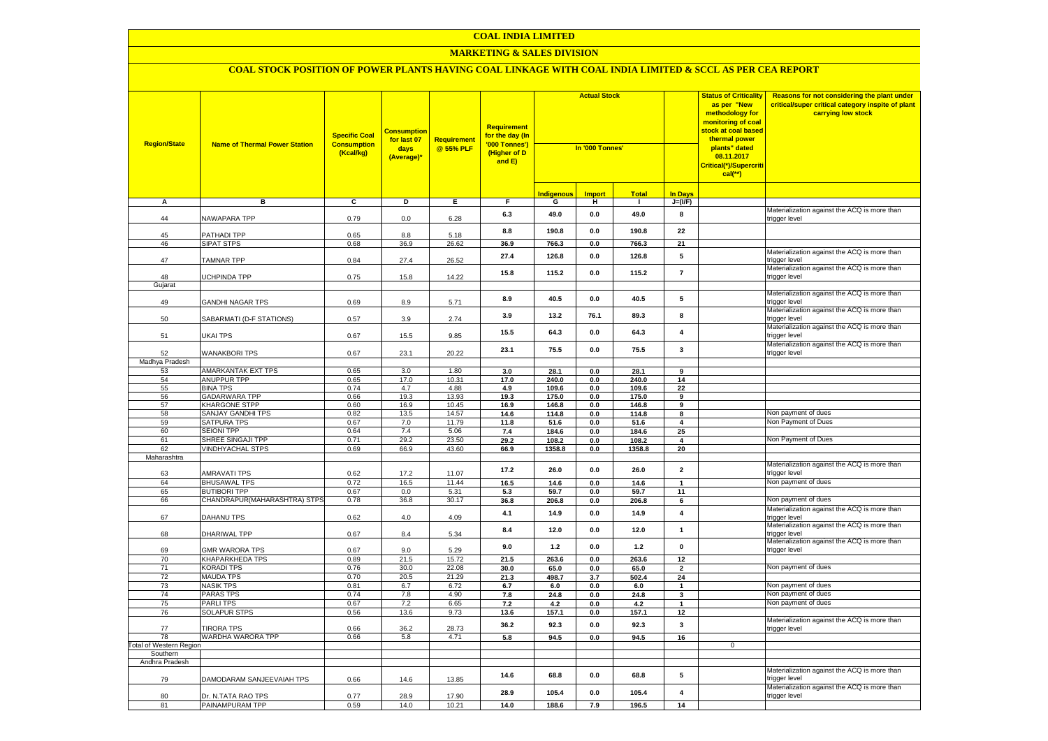## **MARKETING & SALES DIVISION**

| <b>Region/State</b>     | <b>Name of Thermal Power Station</b>    | <b>Specific Coal</b><br><b>Consumption</b><br>(Kcal/kg) | <b>Consumption</b><br>for last 07<br>days<br>(Average)* | <b>Requirement</b><br>@ 55% PLF | <b>Requirement</b><br>for the day (In<br>'000 Tonnes')<br>(Higher of D<br>and E) | <b>Actual Stock</b><br>In '000 Tonnes' |                |                | <b>Status of Criticality</b><br>as per "New<br>methodology for<br><mark>monitoring of coal</mark><br><mark>stock at coal based</mark><br>thermal power<br>plants" dated<br>08.11.2017<br>Critical(*)/Supercriti<br>$cal$ (**) |             | Reasons for not considering the plant under<br>critical/super critical category inspite of plant<br>carrying low stock |
|-------------------------|-----------------------------------------|---------------------------------------------------------|---------------------------------------------------------|---------------------------------|----------------------------------------------------------------------------------|----------------------------------------|----------------|----------------|-------------------------------------------------------------------------------------------------------------------------------------------------------------------------------------------------------------------------------|-------------|------------------------------------------------------------------------------------------------------------------------|
|                         |                                         |                                                         |                                                         |                                 |                                                                                  | <b>Indigenous</b>                      | <b>Import</b>  | <b>Total</b>   | <b>In Davs</b>                                                                                                                                                                                                                |             |                                                                                                                        |
| А                       | в                                       | c                                                       | Þ                                                       | E                               | F                                                                                | G                                      | н              | п.             | $J=(VF)$                                                                                                                                                                                                                      |             |                                                                                                                        |
| 44                      | NAWAPARA TPP                            | 0.79                                                    | 0.0                                                     | 6.28                            | 6.3                                                                              | 49.0                                   | 0.0            | 49.0           | 8                                                                                                                                                                                                                             |             | Materialization against the ACQ is more than<br>trigger level                                                          |
| 45                      | PATHADI TPP                             | 0.65                                                    | 8.8                                                     | 5.18                            | 8.8                                                                              | 190.8                                  | 0.0            | 190.8          | 22                                                                                                                                                                                                                            |             |                                                                                                                        |
| 46                      | <b>SIPAT STPS</b>                       | 0.68                                                    | 36.9                                                    | 26.62                           | 36.9                                                                             | 766.3                                  | 0.0            | 766.3          | 21                                                                                                                                                                                                                            |             |                                                                                                                        |
| 47                      | <b>TAMNAR TPP</b>                       | 0.84                                                    | 27.4                                                    | 26.52                           | 27.4                                                                             | 126.8                                  | $0.0\,$        | 126.8          | ${\bf 5}$                                                                                                                                                                                                                     |             | Materialization against the ACQ is more than<br>trigger level                                                          |
| 48                      | UCHPINDA TPP                            | 0.75                                                    | 15.8                                                    | 14.22                           | 15.8                                                                             | 115.2                                  | 0.0            | 115.2          | $\overline{7}$                                                                                                                                                                                                                |             | Materialization against the ACQ is more than<br>trigger level                                                          |
| Gujarat                 |                                         |                                                         |                                                         |                                 |                                                                                  |                                        |                |                |                                                                                                                                                                                                                               |             | Materialization against the ACQ is more than                                                                           |
| 49                      | <b>GANDHI NAGAR TPS</b>                 | 0.69                                                    | 8.9                                                     | 5.71                            | 8.9                                                                              | 40.5                                   | $0.0\,$        | 40.5           | ${\bf 5}$                                                                                                                                                                                                                     |             | trigger level                                                                                                          |
| 50                      | SABARMATI (D-F STATIONS)                | 0.57                                                    | 3.9                                                     | 2.74                            | 3.9                                                                              | 13.2                                   | 76.1           | 89.3           | 8                                                                                                                                                                                                                             |             | Materialization against the ACQ is more than<br>trigger level                                                          |
| 51                      | UKAI TPS                                | 0.67                                                    | 15.5                                                    | 9.85                            | 15.5                                                                             | 64.3                                   | 0.0            | 64.3           | 4                                                                                                                                                                                                                             |             | Materialization against the ACQ is more than<br>trigger level                                                          |
| 52                      | <b>WANAKBORI TPS</b>                    | 0.67                                                    | 23.1                                                    | 20.22                           | 23.1                                                                             | 75.5                                   | 0.0            | 75.5           | $\mathbf{3}$                                                                                                                                                                                                                  |             | Materialization against the ACQ is more than<br>trigger level                                                          |
| Madhya Pradesh          |                                         |                                                         |                                                         |                                 |                                                                                  |                                        |                |                |                                                                                                                                                                                                                               |             |                                                                                                                        |
| 53                      | <b>AMARKANTAK EXT TPS</b>               | 0.65                                                    | 3.0                                                     | 1.80                            | 3.0                                                                              | 28.1                                   | 0.0            | 28.1           | 9                                                                                                                                                                                                                             |             |                                                                                                                        |
| 54                      | ANUPPUR TPP                             | 0.65                                                    | 17.0                                                    | 10.31                           | 17.0                                                                             | 240.0                                  | 0.0            | 240.0          | 14                                                                                                                                                                                                                            |             |                                                                                                                        |
| 55<br>56                | <b>BINA TPS</b><br><b>GADARWARA TPP</b> | 0.74<br>0.66                                            | 4.7<br>19.3                                             | 4.88<br>13.93                   | 4.9<br>19.3                                                                      | 109.6<br>175.0                         | 0.0<br>0.0     | 109.6<br>175.0 | 22                                                                                                                                                                                                                            |             |                                                                                                                        |
| 57                      | KHARGONE STPP                           | 0.60                                                    | 16.9                                                    | 10.45                           | 16.9                                                                             | 146.8                                  | 0.0            | 146.8          | 9<br>9                                                                                                                                                                                                                        |             |                                                                                                                        |
| 58                      | <b>SANJAY GANDHI TPS</b>                | 0.82                                                    | 13.5                                                    | 14.57                           | 14.6                                                                             | 114.8                                  | 0.0            | 114.8          | 8                                                                                                                                                                                                                             |             | Non payment of dues                                                                                                    |
| 59                      | SATPURA TPS                             | 0.67                                                    | 7.0                                                     | 11.79                           | 11.8                                                                             | 51.6                                   | 0.0            | 51.6           | $\overline{\mathbf{4}}$                                                                                                                                                                                                       |             | Non Payment of Dues                                                                                                    |
| 60                      | <b>SEIONI TPP</b>                       | 0.64                                                    | 7.4                                                     | 5.06                            | 7.4                                                                              | 184.6                                  | 0.0            | 184.6          | 25                                                                                                                                                                                                                            |             |                                                                                                                        |
| 61                      | SHREE SINGAJI TPP                       | 0.71                                                    | 29.2                                                    | 23.50                           | 29.2                                                                             | 108.2                                  | 0.0            | 108.2          | 4                                                                                                                                                                                                                             |             | Non Payment of Dues                                                                                                    |
| 62                      | <b>VINDHYACHAL STPS</b>                 | 0.69                                                    | 66.9                                                    | 43.60                           | 66.9                                                                             | 1358.8                                 | $0.0\,$        | 1358.8         | 20                                                                                                                                                                                                                            |             |                                                                                                                        |
| Maharashtra             |                                         |                                                         |                                                         |                                 |                                                                                  |                                        |                |                |                                                                                                                                                                                                                               |             |                                                                                                                        |
| 63                      | <b>AMRAVATI TPS</b>                     | 0.62                                                    | 17.2                                                    | 11.07                           | 17.2                                                                             | 26.0                                   | $0.0\,$        | 26.0           | $\overline{\mathbf{2}}$                                                                                                                                                                                                       |             | Materialization against the ACQ is more than<br>trigger level                                                          |
| 64                      | <b>BHUSAWAL TPS</b>                     | 0.72                                                    | 16.5                                                    | 11.44                           | 16.5                                                                             | 14.6                                   | 0.0            | 14.6           | $\mathbf{1}$                                                                                                                                                                                                                  |             | Non payment of dues                                                                                                    |
| 65                      | <b>BUTIBORI TPP</b>                     | 0.67                                                    | 0.0                                                     | 5.31                            | 5.3                                                                              | 59.7                                   | 0.0            | 59.7           | 11                                                                                                                                                                                                                            |             |                                                                                                                        |
| 66                      | CHANDRAPUR(MAHARASHTRA) STPS            | 0.78                                                    | 36.8                                                    | 30.17                           | 36.8                                                                             | 206.8                                  | 0.0            | 206.8          | 6                                                                                                                                                                                                                             |             | Non payment of dues                                                                                                    |
| 67                      | DAHANU TPS                              | 0.62                                                    | 4.0                                                     | 4.09                            | 4.1                                                                              | 14.9                                   | 0.0            | 14.9           | 4                                                                                                                                                                                                                             |             | Materialization against the ACQ is more than<br>trigger level                                                          |
| 68                      | DHARIWAL TPP                            | 0.67                                                    | 8.4                                                     | 5.34                            | 8.4                                                                              | 12.0                                   | 0.0            | 12.0           | $\mathbf{1}$                                                                                                                                                                                                                  |             | Materialization against the ACQ is more than<br>trigger level                                                          |
| 69                      | <b>GMR WARORA TPS</b>                   | 0.67                                                    | 9.0                                                     | 5.29                            | 9.0                                                                              | $1.2$                                  | 0.0            | 1.2            | $\pmb{0}$                                                                                                                                                                                                                     |             | Materialization against the ACQ is more than<br>trigger level                                                          |
| 70                      | KHAPARKHEDA TPS                         | 0.89                                                    | 21.5                                                    | 15.72                           | 21.5                                                                             | 263.6                                  | 0.0            | 263.6          | 12                                                                                                                                                                                                                            |             |                                                                                                                        |
| 71                      | <b>KORADI TPS</b>                       | 0.76<br>0.70                                            | 30.0                                                    | 22.08                           | 30.0                                                                             | 65.0                                   | 0.0            | 65.0           | $\overline{\mathbf{2}}$                                                                                                                                                                                                       |             | Non payment of dues                                                                                                    |
| 72<br>73                | <b>MAUDA TPS</b><br><b>NASIK TPS</b>    | 0.81                                                    | 20.5<br>6.7                                             | 21.29<br>6.72                   | 21.3                                                                             | 498.7                                  | 3.7            | 502.4          | 24<br>$\mathbf{1}$                                                                                                                                                                                                            |             | Non payment of dues                                                                                                    |
| 74                      | <b>PARAS TPS</b>                        | 0.74                                                    | 7.8                                                     | 4.90                            | 6.7<br>7.8                                                                       | 6.0<br>24.8                            | $0.0\,$<br>0.0 | $6.0\,$        | $\mathbf{3}$                                                                                                                                                                                                                  |             | Non payment of dues                                                                                                    |
| 75                      | <b>PARLITPS</b>                         | 0.67                                                    | 7.2                                                     | 6.65                            | 7.2                                                                              | 4.2                                    | 0.0            | 24.8<br>4.2    | $\mathbf{1}$                                                                                                                                                                                                                  |             | Non payment of dues                                                                                                    |
| 76                      | <b>SOLAPUR STPS</b>                     | 0.56                                                    | 13.6                                                    | 9.73                            | 13.6                                                                             | 157.1                                  | 0.0            | 157.1          | 12                                                                                                                                                                                                                            |             |                                                                                                                        |
| 77                      | <b>TIRORA TPS</b>                       | 0.66                                                    | 36.2                                                    | 28.73                           | 36.2                                                                             | 92.3                                   | 0.0            | 92.3           | 3                                                                                                                                                                                                                             |             | Materialization against the ACQ is more than<br>trigger level                                                          |
| 78                      | WARDHA WARORA TPP                       | 0.66                                                    | 5.8                                                     | 4.71                            | 5.8                                                                              | 94.5                                   | 0.0            | 94.5           | 16                                                                                                                                                                                                                            |             |                                                                                                                        |
| Total of Western Region |                                         |                                                         |                                                         |                                 |                                                                                  |                                        |                |                |                                                                                                                                                                                                                               | $\mathbf 0$ |                                                                                                                        |
| Southern                |                                         |                                                         |                                                         |                                 |                                                                                  |                                        |                |                |                                                                                                                                                                                                                               |             |                                                                                                                        |
| Andhra Pradesh          |                                         |                                                         |                                                         |                                 |                                                                                  |                                        |                |                |                                                                                                                                                                                                                               |             |                                                                                                                        |
| 79                      | DAMODARAM SANJEEVAIAH TPS               | 0.66                                                    | 14.6                                                    | 13.85                           | 14.6                                                                             | 68.8                                   | $0.0\,$        | 68.8           | ${\bf 5}$                                                                                                                                                                                                                     |             | Materialization against the ACQ is more than<br>rigger level                                                           |
| 80                      | Dr. N.TATA RAO TPS                      | 0.77                                                    | 28.9                                                    | 17.90                           | 28.9                                                                             | 105.4                                  | 0.0            | 105.4          | $\overline{\mathbf{4}}$                                                                                                                                                                                                       |             | Materialization against the ACQ is more than<br>trigger level                                                          |
| 81                      | PAINAMPURAM TPP                         | 0.59                                                    | 14.0                                                    | 10.21                           | 14.0                                                                             | 188.6                                  | 7.9            | 196.5          | 14                                                                                                                                                                                                                            |             |                                                                                                                        |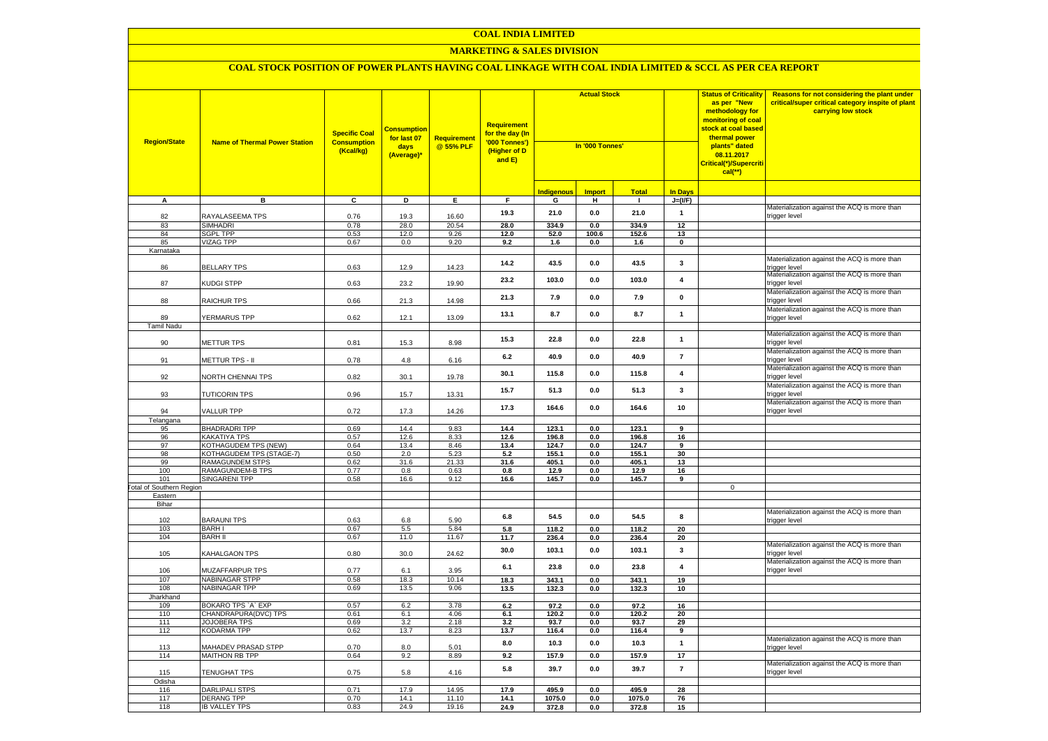#### **MARKETING & SALES DIVISION**

| <b>Region/State</b>             | <b>Name of Thermal Power Station</b>        | <b>Specific Coal</b><br><b>Consumption</b><br>(Kcal/kg) | <b>Consumption</b><br>for last 07<br>days<br>(Average)* | <b>Requirement</b><br>@ 55% PLF | <b>Requirement</b><br>for the day (In<br>'000 Tonnes')<br>(Higher of D<br>and $E$ ) | <b>Actual Stock</b><br>In '000 Tonnes' |                |                |                         | <b>Status of Criticality</b><br>as per "New<br>methodology for<br>monitoring of coal<br><mark>stock at coal based</mark><br>thermal power<br>plants" dated<br>08.11.2017<br>Critical(*)/Supercriti<br>$cal$ (**) | Reasons for not considering the plant under<br>critical/super critical category inspite of plant<br>carrying low stock |
|---------------------------------|---------------------------------------------|---------------------------------------------------------|---------------------------------------------------------|---------------------------------|-------------------------------------------------------------------------------------|----------------------------------------|----------------|----------------|-------------------------|------------------------------------------------------------------------------------------------------------------------------------------------------------------------------------------------------------------|------------------------------------------------------------------------------------------------------------------------|
|                                 |                                             |                                                         |                                                         |                                 |                                                                                     | Indigenous                             | <b>Import</b>  | <b>Total</b>   | <b>In Days</b>          |                                                                                                                                                                                                                  |                                                                                                                        |
| A                               | в                                           | C                                                       | D                                                       | Е.                              | F.                                                                                  | G                                      | н              | $\mathbf{L}$   | $J=(VF)$                |                                                                                                                                                                                                                  |                                                                                                                        |
| 82                              | RAYALASEEMA TPS                             | 0.76                                                    | 19.3                                                    | 16.60                           | 19.3                                                                                | 21.0                                   | 0.0            | 21.0           | $\mathbf{1}$            |                                                                                                                                                                                                                  | Materialization against the ACQ is more than<br>trigger level                                                          |
| 83                              | <b>SIMHADRI</b>                             | 0.78                                                    | 28.0                                                    | 20.54                           | 28.0                                                                                | 334.9                                  | 0.0            | 334.9          | 12                      |                                                                                                                                                                                                                  |                                                                                                                        |
| 84                              | <b>SGPL TPP</b>                             | 0.53                                                    | 12.0                                                    | 9.26                            | 12.0                                                                                | 52.0                                   | 100.6          | 152.6          | 13                      |                                                                                                                                                                                                                  |                                                                                                                        |
| 85                              | VIZAG TPP                                   | 0.67                                                    | 0.0                                                     | 9.20                            | 9.2                                                                                 | 1.6                                    | 0.0            | 1.6            | $\mathbf 0$             |                                                                                                                                                                                                                  |                                                                                                                        |
| Karnataka                       |                                             |                                                         |                                                         |                                 | 14.2                                                                                | 43.5                                   | $0.0\,$        | 43.5           | $\mathbf{3}$            |                                                                                                                                                                                                                  | Materialization against the ACQ is more than                                                                           |
| 86<br>87                        | <b>BELLARY TPS</b><br>KUDGI STPP            | 0.63<br>0.63                                            | 12.9<br>23.2                                            | 14.23<br>19.90                  | 23.2                                                                                | 103.0                                  | 0.0            | 103.0          | $\overline{\mathbf{4}}$ |                                                                                                                                                                                                                  | trigger level<br>Materialization against the ACQ is more than<br>trigger level                                         |
| 88                              | RAICHUR TPS                                 | 0.66                                                    | 21.3                                                    | 14.98                           | 21.3                                                                                | 7.9                                    | 0.0            | 7.9            | $\mathbf{0}$            |                                                                                                                                                                                                                  | Materialization against the ACQ is more than<br>trigger level                                                          |
| 89                              | YERMARUS TPP                                | 0.62                                                    | 12.1                                                    | 13.09                           | 13.1                                                                                | 8.7                                    | 0.0            | 8.7            | $\mathbf{1}$            |                                                                                                                                                                                                                  | Materialization against the ACQ is more than                                                                           |
| Tamil Nadu                      |                                             |                                                         |                                                         |                                 |                                                                                     |                                        |                |                |                         |                                                                                                                                                                                                                  | trigger level                                                                                                          |
| 90                              | METTUR TPS                                  | 0.81                                                    | 15.3                                                    | 8.98                            | 15.3                                                                                | 22.8                                   | 0.0            | 22.8           | $\mathbf{1}$            |                                                                                                                                                                                                                  | Materialization against the ACQ is more than<br>trigger level                                                          |
| 91                              | METTUR TPS - II                             | 0.78                                                    | 4.8                                                     | 6.16                            | 6.2                                                                                 | 40.9                                   | 0.0            | 40.9           | $\overline{7}$          |                                                                                                                                                                                                                  | Materialization against the ACQ is more than<br>rigger level                                                           |
| 92                              | NORTH CHENNAI TPS                           | 0.82                                                    | 30.1                                                    | 19.78                           | 30.1                                                                                | 115.8                                  | 0.0            | 115.8          | $\overline{\mathbf{4}}$ |                                                                                                                                                                                                                  | Materialization against the ACQ is more than<br>rigger level                                                           |
| 93                              | <b>TUTICORIN TPS</b>                        | 0.96                                                    | 15.7                                                    | 13.31                           | 15.7                                                                                | 51.3                                   | 0.0            | 51.3           | $\mathbf{3}$            |                                                                                                                                                                                                                  | Materialization against the ACQ is more than<br>rigger level                                                           |
| 94                              | VALLUR TPP                                  | 0.72                                                    | 17.3                                                    | 14.26                           | 17.3                                                                                | 164.6                                  | 0.0            | 164.6          | 10                      |                                                                                                                                                                                                                  | Materialization against the ACQ is more than<br>rigger level                                                           |
| Telangana                       |                                             |                                                         |                                                         |                                 |                                                                                     |                                        |                |                |                         |                                                                                                                                                                                                                  |                                                                                                                        |
| 95                              | <b>BHADRADRI TPP</b>                        | 0.69                                                    | 14.4                                                    | 9.83                            | 14.4                                                                                | 123.1                                  | 0.0            | 123.1          | 9                       |                                                                                                                                                                                                                  |                                                                                                                        |
| 96<br>97                        | KAKATIYA TPS<br><b>KOTHAGUDEM TPS (NEW)</b> | 0.57                                                    | 12.6                                                    | 8.33                            | 12.6                                                                                | 196.8<br>124.7                         | 0.0<br>0.0     | 196.8          | 16<br>9                 |                                                                                                                                                                                                                  |                                                                                                                        |
| 98                              | KOTHAGUDEM TPS (STAGE-7)                    | 0.64<br>0.50                                            | 13.4<br>2.0                                             | 8.46<br>5.23                    | 13.4<br>5.2                                                                         | 155.1                                  | 0.0            | 124.7<br>155.1 | 30                      |                                                                                                                                                                                                                  |                                                                                                                        |
| 99                              | RAMAGUNDEM STPS                             | 0.62                                                    | 31.6                                                    | 21.33                           | 31.6                                                                                | 405.1                                  | 0.0            | 405.1          | 13                      |                                                                                                                                                                                                                  |                                                                                                                        |
| 100                             | RAMAGUNDEM-B TPS                            | 0.77                                                    | 0.8                                                     | 0.63                            | 0.8                                                                                 | 12.9                                   | 0.0            | 12.9           | 16                      |                                                                                                                                                                                                                  |                                                                                                                        |
| 101                             | <b>SINGARENI TPP</b>                        | 0.58                                                    | 16.6                                                    | 9.12                            | 16.6                                                                                | 145.7                                  | 0.0            | 145.7          | 9                       |                                                                                                                                                                                                                  |                                                                                                                        |
| <b>Fotal of Southern Region</b> |                                             |                                                         |                                                         |                                 |                                                                                     |                                        |                |                |                         | $\mathsf 0$                                                                                                                                                                                                      |                                                                                                                        |
| Eastern                         |                                             |                                                         |                                                         |                                 |                                                                                     |                                        |                |                |                         |                                                                                                                                                                                                                  |                                                                                                                        |
| Bihar                           |                                             |                                                         |                                                         |                                 |                                                                                     |                                        |                |                |                         |                                                                                                                                                                                                                  |                                                                                                                        |
| 102                             | <b>BARAUNI TPS</b>                          | 0.63                                                    | 6.8                                                     | 5.90                            | 6.8                                                                                 | 54.5<br>118.2                          | 0.0<br>0.0     | 54.5<br>118.2  | 8<br>20                 |                                                                                                                                                                                                                  | Materialization against the ACQ is more than<br>rigger level                                                           |
| 103<br>104                      | <b>BARHI</b><br><b>BARH II</b>              | 0.67<br>0.67                                            | 5.5<br>11.0                                             | 5.84<br>11.67                   | 5.8<br>11.7                                                                         | 236.4                                  | 0.0            | 236.4          | 20                      |                                                                                                                                                                                                                  |                                                                                                                        |
| 105                             | KAHALGAON TPS                               | 0.80                                                    | 30.0                                                    | 24.62                           | 30.0                                                                                | 103.1                                  | 0.0            | 103.1          | 3                       |                                                                                                                                                                                                                  | Materialization against the ACQ is more than<br>rigger level                                                           |
| 106                             | <b>MUZAFFARPUR TPS</b>                      | 0.77                                                    | 6.1                                                     | 3.95                            | 6.1                                                                                 | 23.8                                   | 0.0            | 23.8           | $\overline{\mathbf{4}}$ |                                                                                                                                                                                                                  | Materialization against the ACQ is more than<br>rigger level                                                           |
| 107                             | NABINAGAR STPP                              | 0.58                                                    | 18.3                                                    | 10.14                           | 18.3                                                                                | 343.1                                  | 0.0            | 343.1          | 19                      |                                                                                                                                                                                                                  |                                                                                                                        |
| 108                             | NABINAGAR TPP                               | 0.69                                                    | 13.5                                                    | 9.06                            | 13.5                                                                                | 132.3                                  | 0.0            | 132.3          | 10                      |                                                                                                                                                                                                                  |                                                                                                                        |
| Jharkhand                       |                                             |                                                         |                                                         |                                 |                                                                                     |                                        |                |                |                         |                                                                                                                                                                                                                  |                                                                                                                        |
| 109                             | BOKARO TPS `A` EXP                          | 0.57                                                    | 6.2                                                     | 3.78                            | 6.2                                                                                 | 97.2                                   | 0.0            | 97.2           | 16                      |                                                                                                                                                                                                                  |                                                                                                                        |
| 110<br>111                      | CHANDRAPURA(DVC) TPS                        | 0.61                                                    | 6.1                                                     | 4.06                            | 6.1                                                                                 | 120.2                                  | 0.0            | 120.2          | 20                      |                                                                                                                                                                                                                  |                                                                                                                        |
| 112                             | JOJOBERA TPS<br>KODARMA TPP                 | 0.69<br>0.62                                            | 3.2<br>13.7                                             | 2.18<br>8.23                    | 3.2<br>13.7                                                                         | 93.7<br>116.4                          | 0.0<br>0.0     | 93.7<br>116.4  | 29<br>9                 |                                                                                                                                                                                                                  |                                                                                                                        |
| 113                             | <b>MAHADEV PRASAD STPP</b>                  | 0.70                                                    | 8.0                                                     | 5.01                            | 8.0                                                                                 | 10.3                                   | 0.0            | 10.3           | $\mathbf{1}$            |                                                                                                                                                                                                                  | Materialization against the ACQ is more than<br>rigger level                                                           |
| 114                             | MAITHON RB TPP                              | 0.64                                                    | 9.2                                                     | 8.89                            | 9.2                                                                                 | 157.9                                  | 0.0            | 157.9          | 17                      |                                                                                                                                                                                                                  |                                                                                                                        |
| 115                             | TENUGHAT TPS                                | 0.75                                                    | 5.8                                                     | 4.16                            | 5.8                                                                                 | 39.7                                   | 0.0            | 39.7           | $\overline{7}$          |                                                                                                                                                                                                                  | Materialization against the ACQ is more than<br>trigger level                                                          |
| Odisha                          |                                             |                                                         |                                                         |                                 |                                                                                     |                                        |                |                |                         |                                                                                                                                                                                                                  |                                                                                                                        |
| 116                             | <b>DARLIPALI STPS</b>                       | 0.71                                                    | 17.9                                                    | 14.95                           | 17.9                                                                                | 495.9                                  | $\mathbf{0.0}$ | 495.9          | 28                      |                                                                                                                                                                                                                  |                                                                                                                        |
| 117                             | <b>DERANG TPP</b>                           | 0.70                                                    | 14.1                                                    | 11.10                           | 14.1                                                                                | 1075.0                                 | $\mathbf{0.0}$ | 1075.0         | 76                      |                                                                                                                                                                                                                  |                                                                                                                        |
| 118                             | <b>IB VALLEY TPS</b>                        | 0.83                                                    | 24.9                                                    | 19.16                           | 24.9                                                                                | 372.8                                  | 0.0            | 372.8          | 15                      |                                                                                                                                                                                                                  |                                                                                                                        |